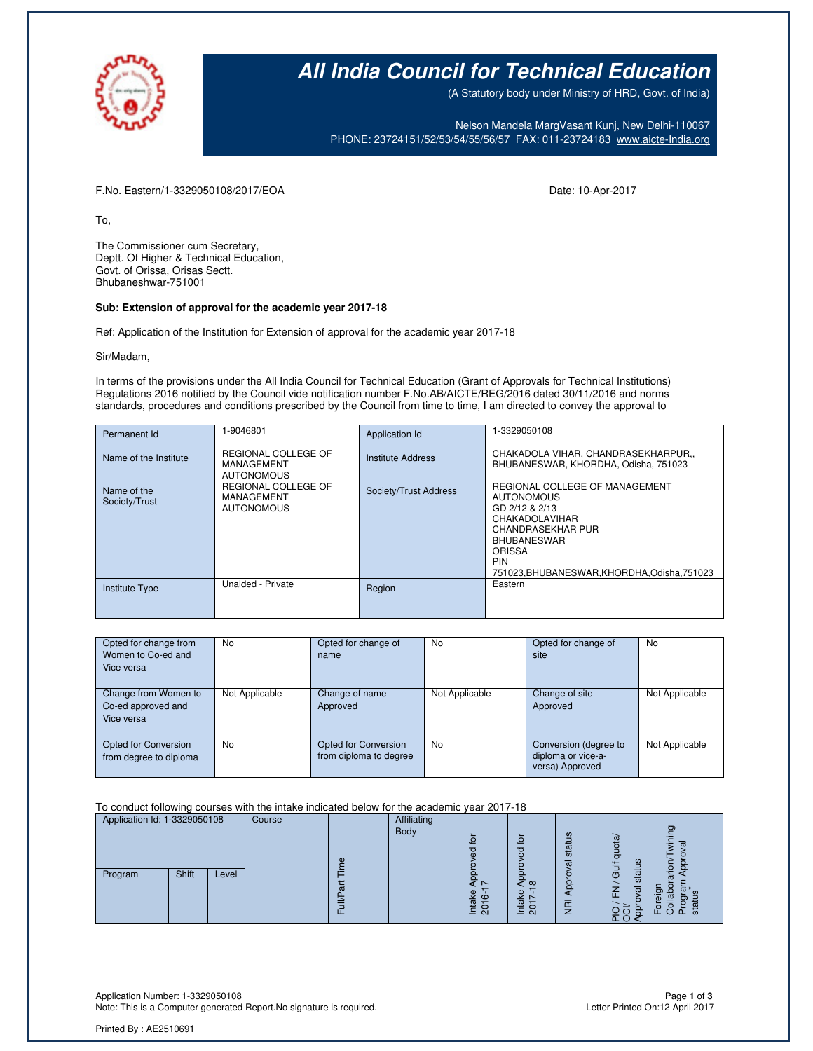

# **All India Council for Technical Education**

(A Statutory body under Ministry of HRD, Govt. of India)

Nelson Mandela MargVasant Kunj, New Delhi-110067 PHONE: 23724151/52/53/54/55/56/57 FAX: 011-23724183 [www.aicte-India.org](http://www.aicte-india.org/)

F.No. Eastern/1-3329050108/2017/EOA Date: 10-Apr-2017

To,

The Commissioner cum Secretary, Deptt. Of Higher & Technical Education, Govt. of Orissa, Orisas Sectt. Bhubaneshwar-751001

#### **Sub: Extension of approval for the academic year 2017-18**

Ref: Application of the Institution for Extension of approval for the academic year 2017-18

Sir/Madam,

In terms of the provisions under the All India Council for Technical Education (Grant of Approvals for Technical Institutions) Regulations 2016 notified by the Council vide notification number F.No.AB/AICTE/REG/2016 dated 30/11/2016 and norms standards, procedures and conditions prescribed by the Council from time to time, I am directed to convey the approval to

| Permanent Id                 | 1-9046801                                                     | Application Id           | 1-3329050108                                                                                                                                                                                           |
|------------------------------|---------------------------------------------------------------|--------------------------|--------------------------------------------------------------------------------------------------------------------------------------------------------------------------------------------------------|
| Name of the Institute        | REGIONAL COLLEGE OF<br><b>MANAGEMENT</b><br><b>AUTONOMOUS</b> | <b>Institute Address</b> | CHAKADOLA VIHAR, CHANDRASEKHARPUR,,<br>BHUBANESWAR, KHORDHA, Odisha, 751023                                                                                                                            |
| Name of the<br>Society/Trust | REGIONAL COLLEGE OF<br>MANAGEMENT<br><b>AUTONOMOUS</b>        | Society/Trust Address    | REGIONAL COLLEGE OF MANAGEMENT<br><b>AUTONOMOUS</b><br>GD 2/12 & 2/13<br>CHAKADOLAVIHAR<br>CHANDRASEKHAR PUR<br><b>BHUBANESWAR</b><br>ORISSA<br><b>PIN</b><br>751023.BHUBANESWAR.KHORDHA.Odisha.751023 |
| <b>Institute Type</b>        | Unaided - Private                                             | Region                   | Eastern                                                                                                                                                                                                |

| Opted for change from  | No.            | Opted for change of    | No             | Opted for change of   | No             |
|------------------------|----------------|------------------------|----------------|-----------------------|----------------|
| Women to Co-ed and     |                | name                   |                | site                  |                |
| Vice versa             |                |                        |                |                       |                |
|                        |                |                        |                |                       |                |
| Change from Women to   | Not Applicable | Change of name         | Not Applicable | Change of site        | Not Applicable |
| Co-ed approved and     |                | Approved               |                | Approved              |                |
| Vice versa             |                |                        |                |                       |                |
|                        |                |                        |                |                       |                |
| Opted for Conversion   | No.            | Opted for Conversion   | No             | Conversion (degree to | Not Applicable |
| from degree to diploma |                | from diploma to degree |                | diploma or vice-a-    |                |
|                        |                |                        |                | versa) Approved       |                |

To conduct following courses with the intake indicated below for the academic year 2017-18

| Application Id: 1-3329050108 | Course |   | Affiliating |                           |                     |                        |                               |                        |
|------------------------------|--------|---|-------------|---------------------------|---------------------|------------------------|-------------------------------|------------------------|
|                              |        |   | Body        | $\Omega$                  | $\mathbf{Q}$        | ဖ                      |                               | ഊ<br>π                 |
|                              |        | Φ |             | ਠ                         | ರ<br>Φ              | stat<br>$\mathfrak{a}$ | quota<br>ೲ                    |                        |
| Shift<br>Program<br>Level    |        |   |             |                           | $\circ$<br>$\infty$ | ē                      | <b>Jir</b> o<br>≓<br>stai     | O<br>Q                 |
|                              |        | ᢐ |             | Φ<br>$\epsilon$<br>ಹ<br>≃ | Φ<br>⋇              |                        | 준<br>$\sigma$                 |                        |
|                              |        |   |             | ିବ<br>≐                   | ສ<br>≐              | ğ                      | ل<br>$\sqrt{2}$<br>$\alpha$ C | 恧<br>o<br>ᇷ<br>Œ.<br>௳ |

Application Number: 1-3329050108 Page **1** of **3** Note: This is a Computer generated Report. No signature is required.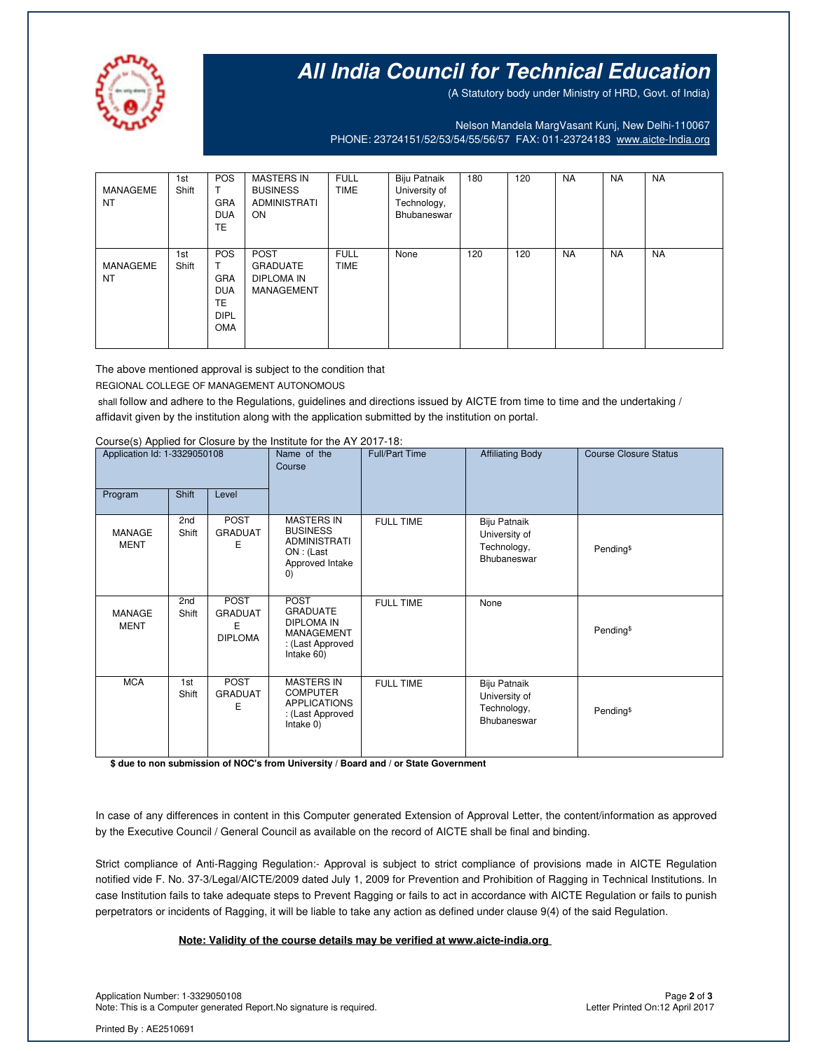

## **All India Council for Technical Education**

(A Statutory body under Ministry of HRD, Govt. of India)

Nelson Mandela MargVasant Kunj, New Delhi-110067 PHONE: 23724151/52/53/54/55/56/57 FAX: 011-23724183 [www.aicte-India.org](http://www.aicte-india.org/)

| MANAGEME<br><b>NT</b> | 1st<br>Shift | <b>POS</b><br>т<br><b>GRA</b><br><b>DUA</b><br>TE.                              | <b>MASTERS IN</b><br><b>BUSINESS</b><br>ADMINISTRATI<br><b>ON</b> | <b>FULL</b><br><b>TIME</b> | Biju Patnaik<br>University of<br>Technology,<br>Bhubaneswar | 180 | 120 | <b>NA</b> | <b>NA</b> | <b>NA</b> |
|-----------------------|--------------|---------------------------------------------------------------------------------|-------------------------------------------------------------------|----------------------------|-------------------------------------------------------------|-----|-----|-----------|-----------|-----------|
| MANAGEME<br><b>NT</b> | 1st<br>Shift | <b>POS</b><br>T<br><b>GRA</b><br><b>DUA</b><br>TE.<br><b>DIPL</b><br><b>OMA</b> | <b>POST</b><br><b>GRADUATE</b><br>DIPLOMA IN<br>MANAGEMENT        | <b>FULL</b><br><b>TIME</b> | None                                                        | 120 | 120 | <b>NA</b> | <b>NA</b> | <b>NA</b> |

The above mentioned approval is subject to the condition that

REGIONAL COLLEGE OF MANAGEMENT AUTONOMOUS

shall follow and adhere to the Regulations, guidelines and directions issued by AICTE from time to time and the undertaking / affidavit given by the institution along with the application submitted by the institution on portal.

#### Course(s) Applied for Closure by the Institute for the AY 2017-18:

| Application Id: 1-3329050108 |              | Name of the<br>Course                                | <b>Full/Part Time</b>                                                                                      | <b>Affiliating Body</b> | <b>Course Closure Status</b>                                |                       |
|------------------------------|--------------|------------------------------------------------------|------------------------------------------------------------------------------------------------------------|-------------------------|-------------------------------------------------------------|-----------------------|
| Program                      | Shift        | Level                                                |                                                                                                            |                         |                                                             |                       |
| <b>MANAGE</b><br><b>MENT</b> | 2nd<br>Shift | <b>POST</b><br><b>GRADUAT</b><br>E                   | <b>MASTERS IN</b><br><b>BUSINESS</b><br><b>ADMINISTRATI</b><br>ON : (Last<br>Approved Intake<br>O)         | <b>FULL TIME</b>        | Biju Patnaik<br>University of<br>Technology,<br>Bhubaneswar | Pending <sup>\$</sup> |
| MANAGE<br><b>MENT</b>        | 2nd<br>Shift | <b>POST</b><br><b>GRADUAT</b><br>Ε<br><b>DIPLOMA</b> | <b>POST</b><br><b>GRADUATE</b><br><b>DIPLOMA IN</b><br><b>MANAGEMENT</b><br>: (Last Approved<br>Intake 60) | <b>FULL TIME</b>        | None                                                        | Pending <sup>\$</sup> |
| <b>MCA</b>                   | 1st<br>Shift | <b>POST</b><br><b>GRADUAT</b><br>E                   | <b>MASTERS IN</b><br><b>COMPUTER</b><br><b>APPLICATIONS</b><br>: (Last Approved<br>Intake 0)               | <b>FULL TIME</b>        | Biju Patnaik<br>University of<br>Technology,<br>Bhubaneswar | Pending <sup>\$</sup> |

**\$ due to non submission of NOC's from University / Board and / or State Government**

In case of any differences in content in this Computer generated Extension of Approval Letter, the content/information as approved by the Executive Council / General Council as available on the record of AICTE shall be final and binding.

Strict compliance of Anti-Ragging Regulation:- Approval is subject to strict compliance of provisions made in AICTE Regulation notified vide F. No. 37-3/Legal/AICTE/2009 dated July 1, 2009 for Prevention and Prohibition of Ragging in Technical Institutions. In case Institution fails to take adequate steps to Prevent Ragging or fails to act in accordance with AICTE Regulation or fails to punish perpetrators or incidents of Ragging, it will be liable to take any action as defined under clause 9(4) of the said Regulation.

#### **Note: Validity of the course details may be verified at www.aicte-india.org**

Application Number: 1-3329050108 Page **2** of **3** Note: This is a Computer generated Report. No signature is required.